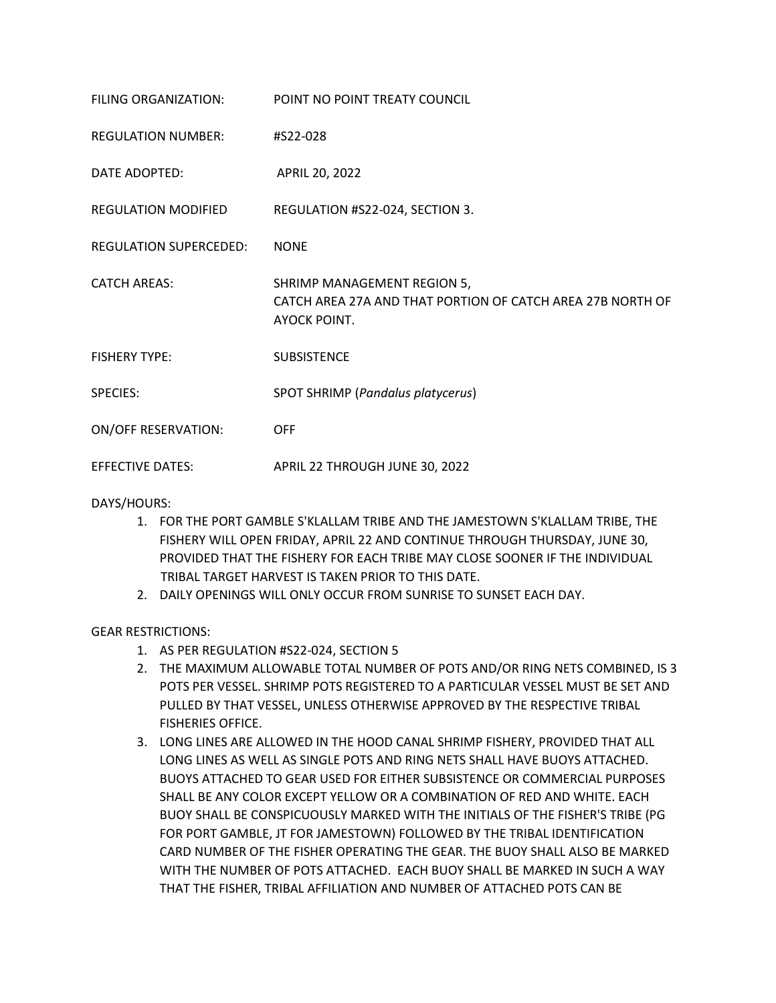| FILING ORGANIZATION:          | POINT NO POINT TREATY COUNCIL                                                                             |
|-------------------------------|-----------------------------------------------------------------------------------------------------------|
| <b>REGULATION NUMBER:</b>     | #S22-028                                                                                                  |
| DATE ADOPTED:                 | APRIL 20, 2022                                                                                            |
| <b>REGULATION MODIFIED</b>    | REGULATION #S22-024, SECTION 3.                                                                           |
| <b>REGULATION SUPERCEDED:</b> | <b>NONE</b>                                                                                               |
| <b>CATCH AREAS:</b>           | SHRIMP MANAGEMENT REGION 5,<br>CATCH AREA 27A AND THAT PORTION OF CATCH AREA 27B NORTH OF<br>AYOCK POINT. |
| <b>FISHERY TYPE:</b>          | <b>SUBSISTENCE</b>                                                                                        |
| SPECIES:                      | SPOT SHRIMP (Pandalus platycerus)                                                                         |
| <b>ON/OFF RESERVATION:</b>    | <b>OFF</b>                                                                                                |
| <b>EFFECTIVE DATES:</b>       | APRIL 22 THROUGH JUNE 30, 2022                                                                            |

DAYS/HOURS:

- 1. FOR THE PORT GAMBLE S'KLALLAM TRIBE AND THE JAMESTOWN S'KLALLAM TRIBE, THE FISHERY WILL OPEN FRIDAY, APRIL 22 AND CONTINUE THROUGH THURSDAY, JUNE 30, PROVIDED THAT THE FISHERY FOR EACH TRIBE MAY CLOSE SOONER IF THE INDIVIDUAL TRIBAL TARGET HARVEST IS TAKEN PRIOR TO THIS DATE.
- 2. DAILY OPENINGS WILL ONLY OCCUR FROM SUNRISE TO SUNSET EACH DAY.

GEAR RESTRICTIONS:

- 1. AS PER REGULATION #S22-024, SECTION 5
- 2. THE MAXIMUM ALLOWABLE TOTAL NUMBER OF POTS AND/OR RING NETS COMBINED, IS 3 POTS PER VESSEL. SHRIMP POTS REGISTERED TO A PARTICULAR VESSEL MUST BE SET AND PULLED BY THAT VESSEL, UNLESS OTHERWISE APPROVED BY THE RESPECTIVE TRIBAL FISHERIES OFFICE.
- 3. LONG LINES ARE ALLOWED IN THE HOOD CANAL SHRIMP FISHERY, PROVIDED THAT ALL LONG LINES AS WELL AS SINGLE POTS AND RING NETS SHALL HAVE BUOYS ATTACHED. BUOYS ATTACHED TO GEAR USED FOR EITHER SUBSISTENCE OR COMMERCIAL PURPOSES SHALL BE ANY COLOR EXCEPT YELLOW OR A COMBINATION OF RED AND WHITE. EACH BUOY SHALL BE CONSPICUOUSLY MARKED WITH THE INITIALS OF THE FISHER'S TRIBE (PG FOR PORT GAMBLE, JT FOR JAMESTOWN) FOLLOWED BY THE TRIBAL IDENTIFICATION CARD NUMBER OF THE FISHER OPERATING THE GEAR. THE BUOY SHALL ALSO BE MARKED WITH THE NUMBER OF POTS ATTACHED. EACH BUOY SHALL BE MARKED IN SUCH A WAY THAT THE FISHER, TRIBAL AFFILIATION AND NUMBER OF ATTACHED POTS CAN BE